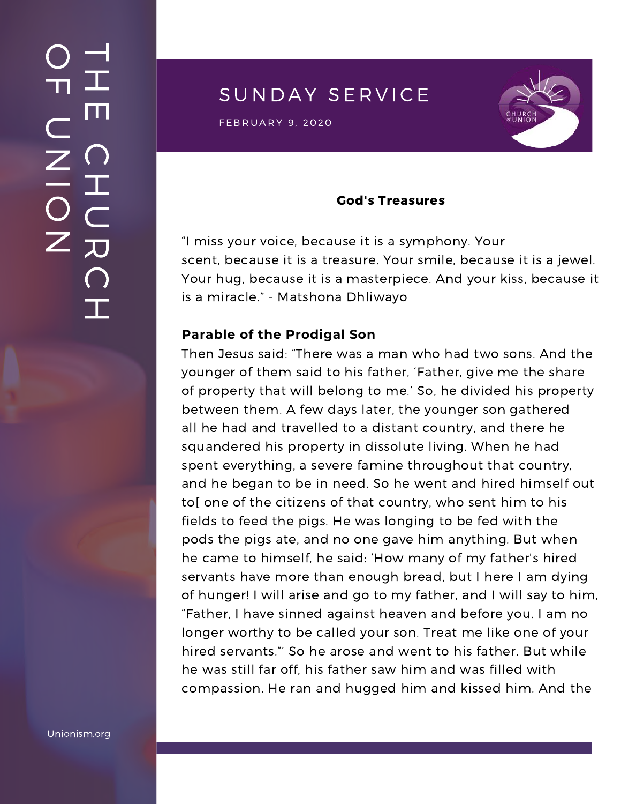SUNDAY SERVICE

FEBRUARY 9, 2020<br>External of the Second Contract of the Second Contract of the Second Contract of the Second Contract of the Se



#### God's Treasures

"I miss your voice, because it is a symphony. Your scent, because it is a treasure. Your smile, because it is a jewel. Your hug, because it is a masterpiece. And your kiss, because it is a miracle." - Matshona Dhliwayo

#### **Parable of the Prodigal Son**

Then Jesus said: "There was a man who had two sons. And the younger of them said to his father, 'Father, give me the share of property that will belong to me.' So, he divided his property between them. A few days later, the younger son gathered all he had and travelled to a distant country, and there he squandered his property in dissolute living. When he had spent everything, a severe famine throughout that country, and he began to be in need. So he went and hired himself out to[ one of the citizens of that country, who sent him to his fields to feed the pigs. He was longing to be fed with the pods the pigs ate, and no one gave him anything. But when he came to himself, he said: 'How many of my father's hired servants have more than enough bread, but I here I am dying of hunger! I will arise and go to my father, and I will say to him, "Father, I have sinned against heaven and before you. I am no longer worthy to be called your son. Treat me like one of your hired servants."' So he arose and went to his father. But while he was still far off, his father saw him and was filled with compassion. He ran and hugged him and kissed him. And the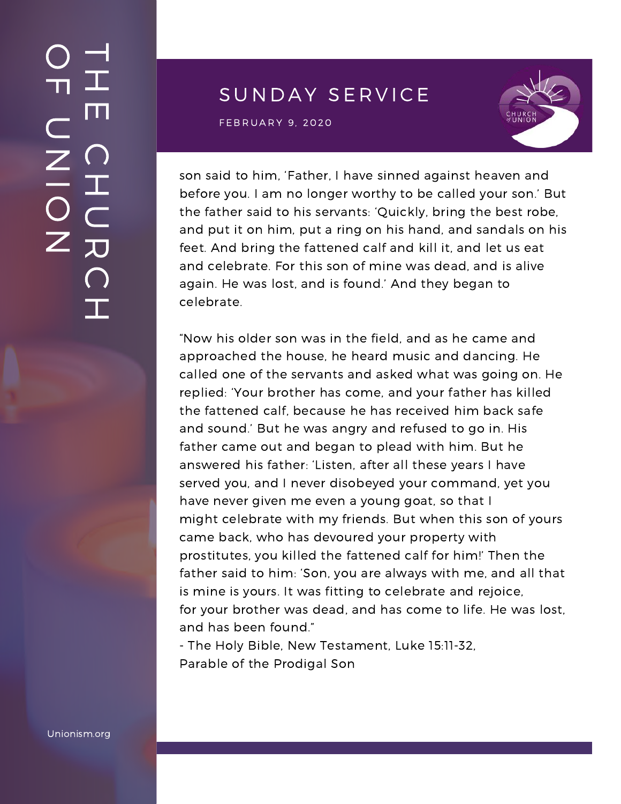# SUNDAY SERVICE

FEBRUARY 9, 2020<br>External of the Second Contract of the Second Contract of the Second Contract of the Second Contract of the Se



son said to him, 'Father, I have sinned against heaven and before you. I am no longer worthy to be called your son.' But the father said to his servants: 'Quickly, bring the best robe, and put it on him, put a ring on his hand, and sandals on his feet. And bring the fattened calf and kill it, and let us eat and celebrate. For this son of mine was dead, and is alive again. He was lost, and is found.' And they began to celebrate.

"Now his older son was in the field, and as he came and approached the house, he heard music and dancing. He called one of the servants and asked what was going on. He replied: 'Your brother has come, and your father has killed the fattened calf, because he has received him back safe and sound.' But he was angry and refused to go in. His father came out and began to plead with him. But he answered his father: 'Listen, after all these years I have served you, and I never disobeyed your command, yet you have never given me even a young goat, so that I might celebrate with my friends. But when this son of yours came back, who has devoured your property with [prostitutes,](https://www.yoganandacommunity.com/new-awakening-churches-paramhansa-yogananda/) you killed the fattened calf for him!' Then the father said to him: 'Son, you are always with me, and all that is mine is yours. It was fitting to celebrate and rejoice, for your brother was dead, and has come to life. He was lost, and has been found."

- The Holy Bible, New Testament, Luke 15:11-32, Parable of the Prodigal Son

Unionism.org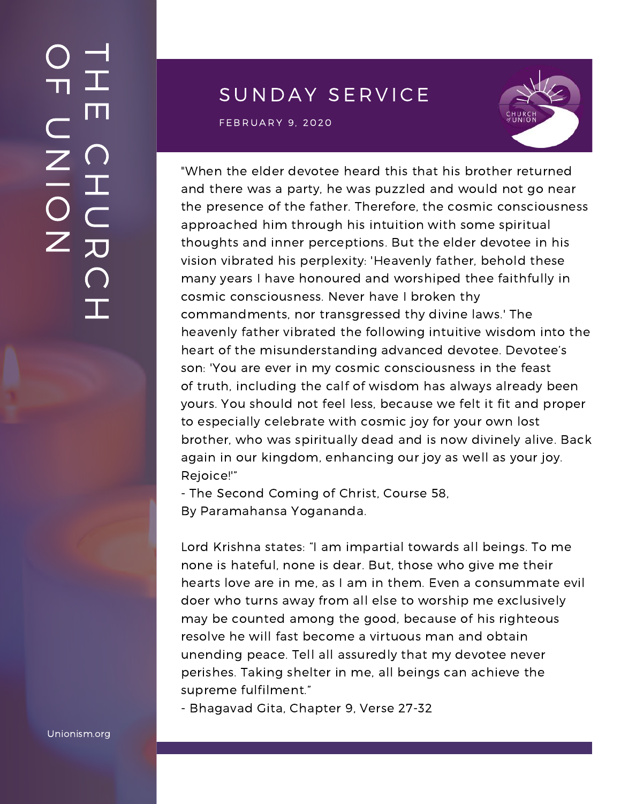# SUNDAY SERVICE

FEBRUARY 9, 2020<br>External of the Second Contract of the Second Contract of the Second Contract of the Second Contract of the Se



"When the elder devotee heard this that his brother returned and there was a party, he was puzzled and would not go near the presence of the father. Therefore, the cosmic consciousness approached him through his intuition with some spiritual thoughts and inner perceptions. But the elder devotee in his vision vibrated his perplexity: 'Heavenly father, behold these many years I have honoured and worshiped thee faithfully in cosmic consciousness. Never have I broken thy commandments, nor transgressed thy divine laws.' The heavenly father vibrated the following intuitive wisdom into the heart of the misunderstanding advanced devotee. Devotee's son: 'You are ever in my cosmic consciousness in the feast of truth, including the calf of wisdom has always already been yours. You should not feel less, because we felt it fit and proper to especially celebrate with cosmic joy for your own lost brother, who was spiritually dead and is now divinely alive. Back again in our kingdom, enhancing our joy as well as your joy. Rejoice!'"

- The Second Coming of Christ, Course 58, By Paramahansa Yogananda.

Lord Krishna states: "I am impartial towards all beings. To me none is hateful, none is dear. But, those who give me their hearts love are in me, as I am in them. Even a consummate evil doer who turns away from all else to worship me exclusively may be counted among the good, because of his righteous resolve he will fast become a virtuous man and obtain unending peace. Tell all assuredly that my devotee never perishes. Taking shelter in me, all beings can achieve the supreme fulfilment."

- Bhagavad Gita, Chapter 9, Verse 27-32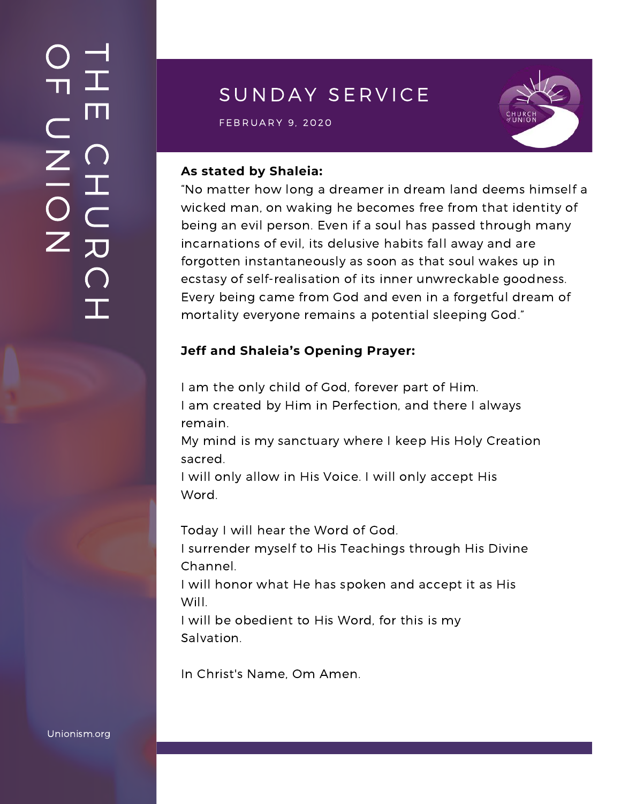# SUNDAY SERVICE

 $\mathsf{FEBRUARY \: 9, \: 2020} \ \blacksquare$ 



#### **As stated by Shaleia:**

"No matter how long a dreamer in dream land deems himself a wicked man, on waking he becomes free from that identity of being an evil person. Even if a soul has passed through many incarnations of evil, its delusive habits fall away and are forgotten instantaneously as soon as that soul wakes up in ecstasy of self-realisation of its inner unwreckable goodness. Every being came from God and even in a forgetful dream of mortality everyone remains a potential sleeping God."

#### **Jeff and Shaleia's Opening Prayer:**

I am the only child of God, forever part of Him. I am created by Him in Perfection, and there I always remain.

My mind is my sanctuary where I keep His Holy Creation sacred.

I will only allow in His Voice. I will only accept His Word.

Today I will hear the Word of God.

I surrender myself to His Teachings through His Divine Channel.

I will honor what He has spoken and accept it as His Will.

I will be obedient to His Word, for this is my Salvation.

In Christ's Name, Om Amen.